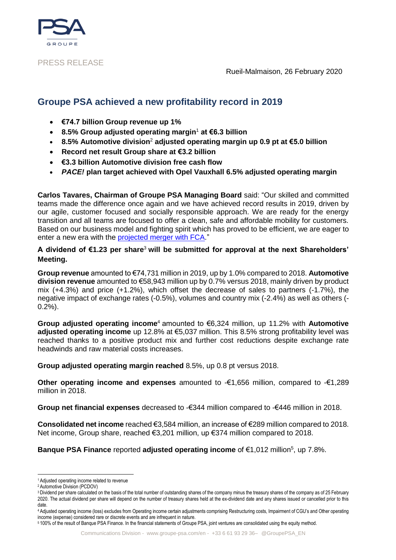

PRESS RELEASE

Rueil-Malmaison, 26 February 2020

# **Groupe PSA achieved a new profitability record in 2019**

- **€74.7 billion Group revenue up 1%**
- **8.5% Group adjusted operating margin**<sup>1</sup> **at €6.3 billion**
- **8.5% Automotive division**<sup>2</sup> **adjusted operating margin up 0.9 pt at €5.0 billion**
- **Record net result Group share at €3.2 billion**
- **€3.3 billion Automotive division free cash flow**
- *PACE!* **plan target achieved with Opel Vauxhall 6.5% adjusted operating margin**

**Carlos Tavares, Chairman of Groupe PSA Managing Board** said: "Our skilled and committed teams made the difference once again and we have achieved record results in 2019, driven by our agile, customer focused and socially responsible approach. We are ready for the energy transition and all teams are focused to offer a clean, safe and affordable mobility for customers. Based on our business model and fighting spirit which has proved to be efficient, we are eager to enter a new era with the projected [merger with FCA.](https://www.groupe-psa.com/en/psa-fca-merger-project/)"

## **A dividend of €1.23 per share**<sup>3</sup> **will be submitted for approval at the next Shareholders' Meeting.**

**Group revenue** amounted to €74,731 million in 2019, up by 1.0% compared to 2018. **Automotive division revenue** amounted to €58,943 million up by 0.7% versus 2018, mainly driven by product mix (+4.3%) and price (+1.2%), which offset the decrease of sales to partners (-1.7%), the negative impact of exchange rates (-0.5%), volumes and country mix (-2.4%) as well as others (-  $0.2\%$ ).

**Group adjusted operating income**<sup>4</sup> amounted to €6,324 million, up 11.2% with **Automotive adjusted operating income** up 12.8% at €5,037 million. This 8.5% strong profitability level was reached thanks to a positive product mix and further cost reductions despite exchange rate headwinds and raw material costs increases.

**Group adjusted operating margin reached** 8.5%, up 0.8 pt versus 2018.

**Other operating income and expenses** amounted to -€1,656 million, compared to -€1,289 million in 2018.

**Group net financial expenses** decreased to -€344 million compared to -€446 million in 2018.

**Consolidated net income** reached €3,584 million, an increase of €289 million compared to 2018. Net income, Group share, reached €3,201 million, up €374 million compared to 2018.

**Banque PSA Finance reported adjusted operating income of €1,012 million<sup>5</sup>, up 7.8%.** 

<sup>-</sup><sup>1</sup> Adjusted operating income related to revenue

<sup>2</sup> Automotive Division (PCDOV)

<sup>&</sup>lt;sup>3</sup> Dividend per share calculated on the basis of the total number of outstanding shares of the company minus the treasury shares of the company as of 25 February 2020. The actual dividend per share will depend on the number of treasury shares held at the ex-dividend date and any shares issued or cancelled prior to this date.

<sup>4</sup> Adjusted operating income (loss) excludes from Operating income certain adjustments comprising Restructuring costs, Impairment of CGU's and Other operating income (expense) considered rare or discrete events and are infrequent in nature.

<sup>5</sup> 100% of the result of Banque PSA Finance. In the financial statements of Groupe PSA, joint ventures are consolidated using the equity method.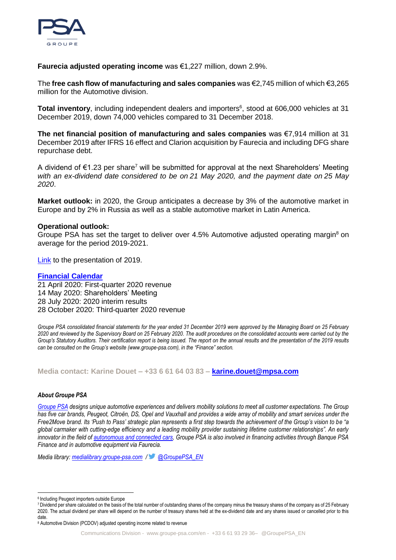

**Faurecia adjusted operating income** was €1,227 million, down 2.9%.

The **free cash flow of manufacturing and sales companies** was €2,745 million of which €3,265 million for the Automotive division.

Total inventory, including independent dealers and importers<sup>6</sup>, stood at 606,000 vehicles at 31 December 2019, down 74,000 vehicles compared to 31 December 2018.

**The net financial position of manufacturing and sales companies** was €7,914 million at 31 December 2019 after IFRS 16 effect and Clarion acquisition by Faurecia and including DFG share repurchase debt.

A dividend of  $\epsilon$ 1.23 per share<sup>7</sup> will be submitted for approval at the next Shareholders' Meeting *with an ex-dividend date considered to be on 21 May 2020, and the payment date on 25 May 2020*.

**Market outlook:** in 2020, the Group anticipates a decrease by 3% of the automotive market in Europe and by 2% in Russia as well as a stable automotive market in Latin America.

## **Operational outlook:**

Groupe PSA has set the target to deliver over  $4.5\%$  Automotive adjusted operating margin<sup>8</sup> on average for the period 2019-2021.

[Link](https://www.groupe-psa.com/en/finance/publications/) to the presentation of 2019.

## **[Financial Calendar](https://www.groupe-psa.com/en/finance/events/)**

21 April 2020: First-quarter 2020 revenue 14 May 2020: Shareholders' Meeting 28 July 2020: 2020 interim results 28 October 2020: Third-quarter 2020 revenue

*Groupe PSA consolidated financial statements for the year ended 31 December 2019 were approved by the Managing Board on 25 February 2020 and reviewed by the Supervisory Board on 25 February 2020. The audit procedures on the consolidated accounts were carried out by the Group's Statutory Auditors. Their certification report is being issued. The report on the annual results and the presentation of the 2019 results can be consulted on the Group's website (www.groupe-psa.com), in the "Finance" section.*

**Media contact: Karine Douet – +33 6 61 64 03 83 – [karine.douet@mpsa.com](mailto:karine.douet@mpsa.com)**

### *About Groupe PSA*

*[Groupe PSA](https://www.groupe-psa.com/fr) designs unique automotive experiences and delivers mobility solutions to meet all customer expectations. The Group has five car brands, Peugeot, Citroën, DS, Opel and Vauxhall and provides a wide array of mobility and smart services under the Free2Move brand. Its 'Push to Pass' strategic plan represents a first step towards the achievement of the Group's vision to be "a global carmaker with cutting-edge efficiency and a leading mobility provider sustaining lifetime customer relationships". An early innovator in the field of [autonomous and connected cars,](https://www.groupe-psa.com/en/story/en-route-vers-la-voiture-autonome/) Groupe PSA is also involved in financing activities through Banque PSA Finance and in automotive equipment via Faurecia.*

*Media library: [medialibrary.groupe-psa.com](http://medialibrary.groupe-psa.com/) / [@GroupePSA\\_EN](https://twitter.com/GroupePSA_EN)*

<sup>.&</sup>lt;br>-6 Including Peugeot importers outside Europe

<sup>7</sup>Dividend per share calculated on the basis of the total number of outstanding shares of the company minus the treasury shares of the company as of 25 February 2020. The actual dividend per share will depend on the number of treasury shares held at the ex-dividend date and any shares issued or cancelled prior to this date.

<sup>8</sup> Automotive Division (PCDOV) adjusted operating income related to revenue